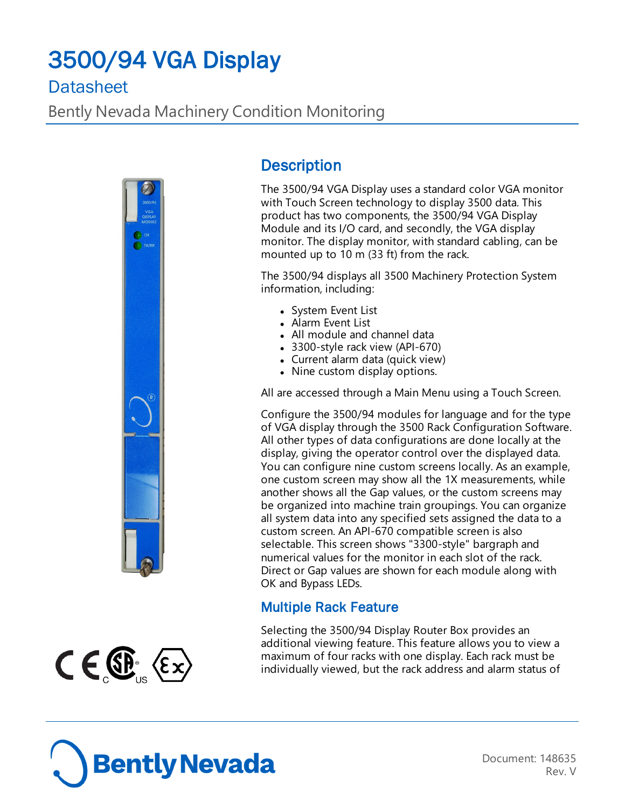# 3500/94 VGA Display

# **Datasheet**

Bently Nevada Machinery Condition Monitoring



## **Description**

The 3500/94 VGA Display uses a standard color VGA monitor with Touch Screen technology to display 3500 data. This product has two components, the 3500/94 VGA Display Module and its I/O card, and secondly, the VGA display monitor. The display monitor, with standard cabling, can be mounted up to 10 m (33 ft) from the rack.

The 3500/94 displays all 3500 Machinery Protection System information, including:

- System Event List
- Alarm Event List
- All module and channel data
- 3300-style rack view (API-670)
- $\bullet$  Current alarm data (quick view)
- Nine custom display options.

All are accessed through a Main Menu using a Touch Screen.

Configure the 3500/94 modules for language and for the type of VGA display through the 3500 Rack Configuration Software. All other types of data configurations are done locally at the display, giving the operator control over the displayed data. You can configure nine custom screens locally. As an example, one custom screen may show all the 1X measurements, while another shows all the Gap values, or the custom screens may be organized into machine train groupings. You can organize all system data into any specified sets assigned the data to a custom screen. An API-670 compatible screen is also selectable. This screen shows "3300-style" bargraph and numerical values for the monitor in each slot of the rack. Direct or Gap values are shown for each module along with OK and Bypass LEDs.

#### Multiple Rack Feature

Selecting the 3500/94 Display Router Box provides an additional viewing feature. This feature allows you to view a maximum of four racks with one display. Each rack must be individually viewed, but the rack address and alarm status of



 $C \in \mathbb{G}$   $\langle \epsilon \times \rangle$ 

Document: 148635 Rev. V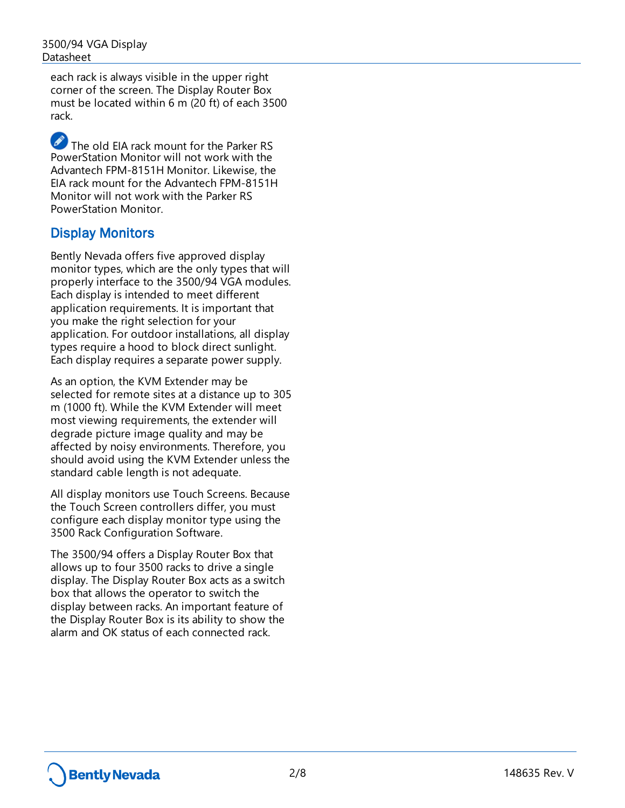each rack is always visible in the upper right corner of the screen. The Display Router Box must be located within 6 m (20 ft) of each 3500 rack.

The old EIA rack mount for the Parker RS PowerStation Monitor will not work with the Advantech FPM-8151H Monitor. Likewise, the EIA rack mount for the Advantech FPM-8151H Monitor will not work with the Parker RS PowerStation Monitor.

#### Display Monitors

Bently Nevada offers five approved display monitor types, which are the only types that will properly interface to the 3500/94 VGA modules. Each display is intended to meet different application requirements. It is important that you make the right selection for your application. For outdoor installations, all display types require a hood to block direct sunlight. Each display requires a separate power supply.

As an option, the KVM Extender may be selected for remote sites at a distance up to 305 m (1000 ft). While the KVM Extender will meet most viewing requirements, the extender will degrade picture image quality and may be affected by noisy environments. Therefore, you should avoid using the KVM Extender unless the standard cable length is not adequate.

All display monitors use Touch Screens. Because the Touch Screen controllers differ, you must configure each display monitor type using the 3500 Rack Configuration Software.

The 3500/94 offers a Display Router Box that allows up to four 3500 racks to drive a single display. The Display Router Box acts as a switch box that allows the operator to switch the display between racks. An important feature of the Display Router Box is its ability to show the alarm and OK status of each connected rack.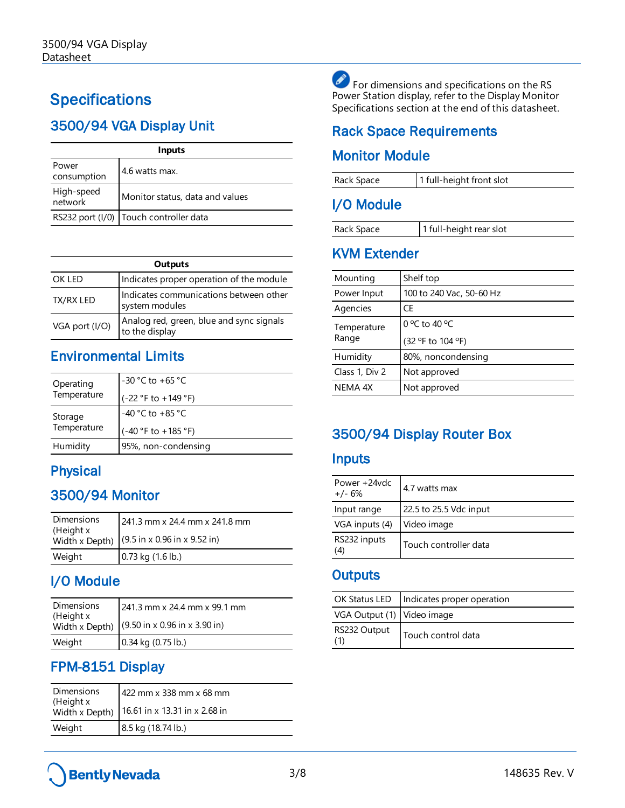# **Specifications**

# 3500/94 VGA Display Unit

| <b>Inputs</b>         |                                          |
|-----------------------|------------------------------------------|
| Power<br>consumption  | 4.6 watts max.                           |
| High-speed<br>network | Monitor status, data and values          |
|                       | RS232 port (I/0)   Touch controller data |

| Outputs        |                                                            |  |
|----------------|------------------------------------------------------------|--|
| OK LED         | Indicates proper operation of the module                   |  |
| TX/RX LED      | Indicates communications between other<br>system modules   |  |
| VGA port (I/O) | Analog red, green, blue and sync signals<br>to the display |  |

## Environmental Limits

| Operating<br>Temperature | $-30 °C$ to $+65 °C$  |
|--------------------------|-----------------------|
|                          | $(-22 °F to +149 °F)$ |
| Storage<br>Temperature   | $-40$ °C to $+85$ °C  |
|                          | $(-40 °F to +185 °F)$ |
| Humidity                 | 95%, non-condensing   |

## **Physical**

## 3500/94 Monitor

| Dimensions                  | 241.3 mm x 24.4 mm x 241.8 mm                            |
|-----------------------------|----------------------------------------------------------|
| (Height x<br>Width x Depth) | $(9.5 \text{ in } x 0.96 \text{ in } x 9.52 \text{ in})$ |
| Weight                      | $0.73$ kg $(1.6$ lb.)                                    |

## I/O Module

| Dimensions                  | 241.3 mm x 24.4 mm x 99.1 mm                                      |
|-----------------------------|-------------------------------------------------------------------|
| (Height x<br>Width x Depth) | $(9.50 \text{ in} \times 0.96 \text{ in} \times 3.90 \text{ in})$ |
| Weight                      | $0.34$ kg $(0.75$ lb.)                                            |

## FPM-8151 Display

| <b>Dimensions</b><br>(Height x<br>Width x Depth) | 422 mm x 338 mm x 68 mm<br>16.61 in x 13.31 in x 2.68 in |
|--------------------------------------------------|----------------------------------------------------------|
| Weight                                           | 8.5 kg (18.74 lb.)                                       |

For dimensions and specifications on the RS Power Station display, refer to the Display Monitor Specifications section at the end of this datasheet.

## Rack Space Requirements

#### Monitor Module

| Rack Space        | 1 full-height front slot |
|-------------------|--------------------------|
| $1/\Omega$ Modulo |                          |

#### I/O Module

| Rack Space | 1 full-height rear slot |
|------------|-------------------------|
|------------|-------------------------|

## KVM Extender

| Mounting             | Shelf top                |
|----------------------|--------------------------|
| Power Input          | 100 to 240 Vac, 50-60 Hz |
| Agencies             | CE                       |
| Temperature<br>Range | 0 °C to 40 °C            |
|                      | (32 °F to 104 °F)        |
| Humidity             | 80%, noncondensing       |
| Class 1, Div 2       | Not approved             |
| NEMA 4X              | Not approved             |

# 3500/94 Display Router Box

#### Inputs

| Power +24vdc<br>$+/- 6%$ | 4.7 watts max          |
|--------------------------|------------------------|
| Input range              | 22.5 to 25.5 Vdc input |
| VGA inputs (4)           | Video image            |
| RS232 inputs<br>(4)      | Touch controller data  |

#### **Outputs**

|                            | OK Status LED   Indicates proper operation |
|----------------------------|--------------------------------------------|
| VGA Output (1) Video image |                                            |
| RS232 Output<br>(1)        | Touch control data                         |

# **Bently Nevada**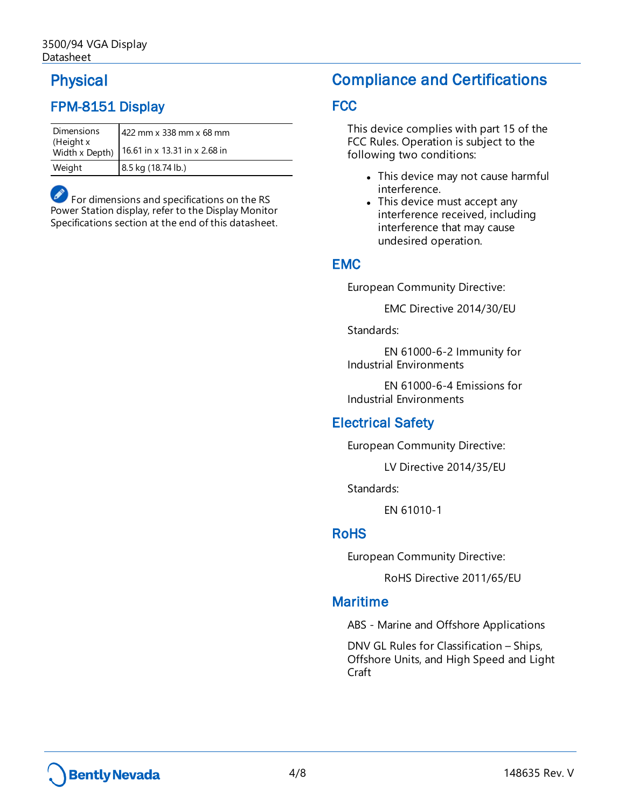## Physical

## FPM-8151 Display

| <b>Dimensions</b><br>(Height x<br>Width x Depth) | 422 mm x 338 mm x 68 mm<br>16.61 in x 13.31 in x 2.68 in |
|--------------------------------------------------|----------------------------------------------------------|
| Weight                                           | 8.5 kg (18.74 lb.)                                       |

For dimensions and specifications on the RS Power Station display, refer to the Display Monitor Specifications section at the end of this datasheet.

## Compliance and Certifications

#### **FCC**

This device complies with part 15 of the FCC Rules. Operation is subject to the following two conditions:

- This device may not cause harmful interference.
- This device must accept any interference received, including interference that may cause undesired operation.

#### EMC

European Community Directive:

EMC Directive 2014/30/EU

Standards:

EN 61000-6-2 Immunity for Industrial Environments

EN 61000-6-4 Emissions for Industrial Environments

#### Electrical Safety

European Community Directive:

LV Directive 2014/35/EU

Standards:

EN 61010-1

#### RoHS

European Community Directive:

RoHS Directive 2011/65/EU

#### Maritime

ABS - Marine and Offshore Applications

DNV GL Rules for Classification – Ships, Offshore Units, and High Speed and Light Craft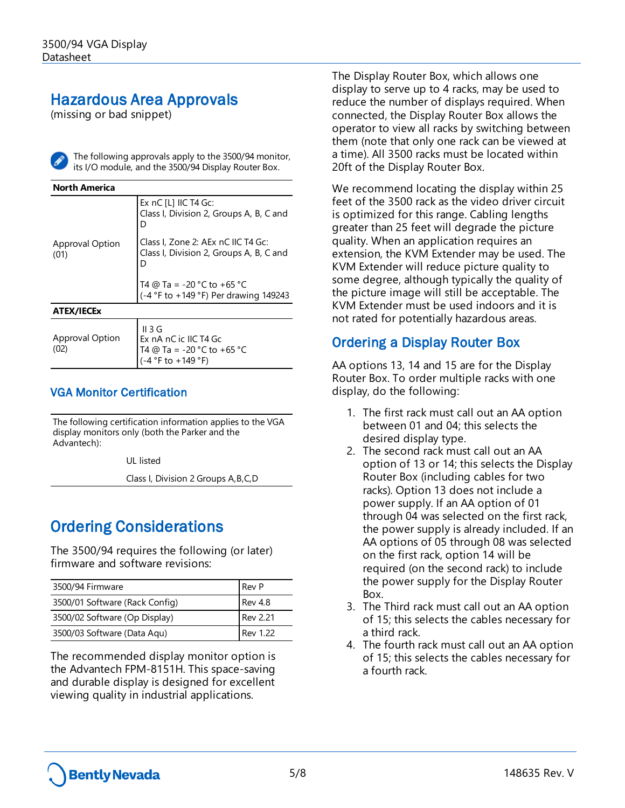## Hazardous Area Approvals

(missing or bad snippet)



The following approvals apply to the 3500/94 monitor, its I/O module, and the 3500/94 Display Router Box.

| <b>North America</b>           |                                                                                                         |
|--------------------------------|---------------------------------------------------------------------------------------------------------|
|                                | Ex $nC$ [L] IIC T4 Gc:<br>Class I, Division 2, Groups A, B, C and<br>D                                  |
| <b>Approval Option</b><br>(01) | Class I, Zone 2: AEx nC IIC T4 Gc:<br>Class I, Division 2, Groups A, B, C and<br>D                      |
|                                | T4 @ Ta = -20 °C to +65 °C<br>(-4 °F to +149 °F) Per drawing 149243                                     |
| <b>ATEX/IECEx</b>              |                                                                                                         |
| <b>Approval Option</b><br>(02) | II 3G<br>Ex nA nC ic IIC T4 Gc<br>T4 @ Ta = -20 °C to +65 °C<br>$(-4 \, \degree$ F to +149 $\degree$ F) |

#### VGA Monitor Certification

The following certification information applies to the VGA display monitors only (both the Parker and the Advantech):

UL listed

Class I, Division 2 Groups A,B,C,D

# Ordering Considerations

The 3500/94 requires the following (or later) firmware and software revisions:

| 3500/94 Firmware               | Rev P           |
|--------------------------------|-----------------|
| 3500/01 Software (Rack Config) | <b>Rev 4.8</b>  |
| 3500/02 Software (Op Display)  | <b>Rev 2.21</b> |
| 3500/03 Software (Data Aqu)    | Rev 1.22        |

The recommended display monitor option is the Advantech FPM-8151H. This space-saving and durable display is designed for excellent viewing quality in industrial applications.

The Display Router Box, which allows one display to serve up to 4 racks, may be used to reduce the number of displays required. When connected, the Display Router Box allows the operator to view all racks by switching between them (note that only one rack can be viewed at a time). All 3500 racks must be located within 20ft of the Display Router Box.

We recommend locating the display within 25 feet of the 3500 rack as the video driver circuit is optimized for this range. Cabling lengths greater than 25 feet will degrade the picture quality. When an application requires an extension, the KVM Extender may be used. The KVM Extender will reduce picture quality to some degree, although typically the quality of the picture image will still be acceptable. The KVM Extender must be used indoors and it is not rated for potentially hazardous areas.

#### Ordering a Display Router Box

AA options 13, 14 and 15 are for the Display Router Box. To order multiple racks with one display, do the following:

- 1. The first rack must call out an AA option between 01 and 04; this selects the desired display type.
- 2. The second rack must call out an AA option of 13 or 14; this selects the Display Router Box (including cables for two racks). Option 13 does not include a power supply. If an AA option of 01 through 04 was selected on the first rack, the power supply is already included. If an AA options of 05 through 08 was selected on the first rack, option 14 will be required (on the second rack) to include the power supply for the Display Router Box.
- 3. The Third rack must call out an AA option of 15; this selects the cables necessary for a third rack.
- 4. The fourth rack must call out an AA option of 15; this selects the cables necessary for a fourth rack.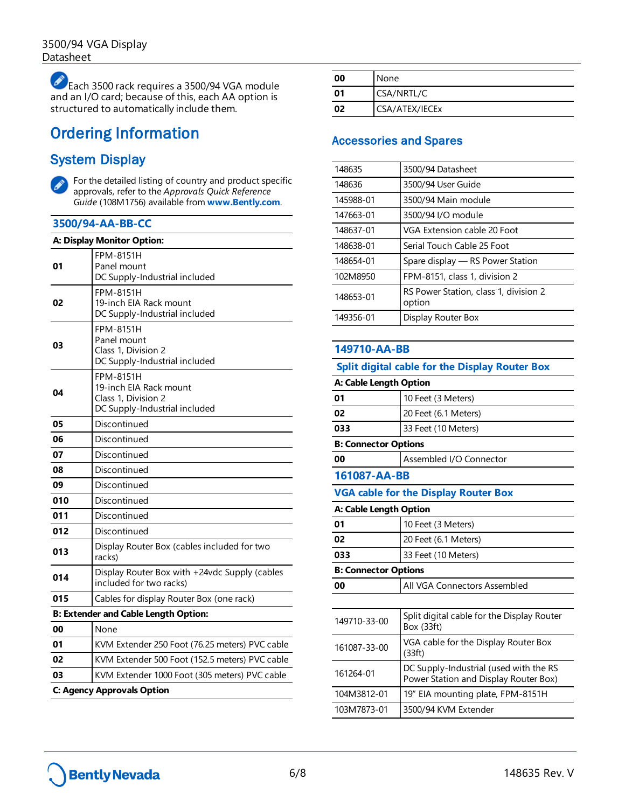Each 3500 rack requires a 3500/94 VGA module and an I/O card; because of this, each AA option is structured to automatically include them.

# Ordering Information

#### System Display



For the detailed listing of country and product specific approvals, refer to the *Approvals Quick Reference Guide* (108M1756) available from **[www.Bently.com](http://www.bently.com/)**.

#### **3500/94-AA-BB-CC**

|     | A: Display Monitor Option:                                                                         |  |
|-----|----------------------------------------------------------------------------------------------------|--|
| 01  | <b>FPM-8151H</b><br>Panel mount<br>DC Supply-Industrial included                                   |  |
| 02  | FPM-8151H<br>19-inch EIA Rack mount<br>DC Supply-Industrial included                               |  |
| 03  | <b>FPM-8151H</b><br>Panel mount<br>Class 1, Division 2<br>DC Supply-Industrial included            |  |
| 04  | <b>FPM-8151H</b><br>19-inch EIA Rack mount<br>Class 1, Division 2<br>DC Supply-Industrial included |  |
| 05  | Discontinued                                                                                       |  |
| 06  | Discontinued                                                                                       |  |
| 07  | Discontinued                                                                                       |  |
| 08  | Discontinued                                                                                       |  |
| 09  | Discontinued                                                                                       |  |
| 010 | Discontinued                                                                                       |  |
| 011 | Discontinued                                                                                       |  |
| 012 | Discontinued                                                                                       |  |
| 013 | Display Router Box (cables included for two<br>racks)                                              |  |
| 014 | Display Router Box with +24vdc Supply (cables<br>included for two racks)                           |  |
| 015 | Cables for display Router Box (one rack)                                                           |  |
|     | <b>B: Extender and Cable Length Option:</b>                                                        |  |
| 00  | None                                                                                               |  |
| 01  | KVM Extender 250 Foot (76.25 meters) PVC cable                                                     |  |
| 02  | KVM Extender 500 Foot (152.5 meters) PVC cable                                                     |  |
| 03  | KVM Extender 1000 Foot (305 meters) PVC cable                                                      |  |
|     | C: Agency Approvals Option                                                                         |  |

| 00 | None           |
|----|----------------|
| 01 | CSA/NRTL/C     |
| 02 | CSA/ATEX/IECEx |

#### Accessories and Spares

| 148635    | 3500/94 Datasheet                               |
|-----------|-------------------------------------------------|
| 148636    | 3500/94 User Guide                              |
| 145988-01 | 3500/94 Main module                             |
| 147663-01 | 3500/94 I/O module                              |
| 148637-01 | VGA Extension cable 20 Foot                     |
| 148638-01 | Serial Touch Cable 25 Foot                      |
| 148654-01 | Spare display — RS Power Station                |
| 102M8950  | FPM-8151, class 1, division 2                   |
| 148653-01 | RS Power Station, class 1, division 2<br>option |
| 149356-01 | Display Router Box                              |
|           |                                                 |

#### **149710-AA-BB**

| <b>Split digital cable for the Display Router Box</b> |                                                                                 |
|-------------------------------------------------------|---------------------------------------------------------------------------------|
| A: Cable Length Option                                |                                                                                 |
| 01                                                    | 10 Feet (3 Meters)                                                              |
| 02                                                    | 20 Feet (6.1 Meters)                                                            |
| 033                                                   | 33 Feet (10 Meters)                                                             |
| <b>B: Connector Options</b>                           |                                                                                 |
| 00                                                    | Assembled I/O Connector                                                         |
| 161087-AA-BB                                          |                                                                                 |
|                                                       | <b>VGA cable for the Display Router Box</b>                                     |
| A: Cable Length Option                                |                                                                                 |
| 01                                                    | 10 Feet (3 Meters)                                                              |
| 02                                                    | 20 Feet (6.1 Meters)                                                            |
| 033                                                   | 33 Feet (10 Meters)                                                             |
| <b>B: Connector Options</b>                           |                                                                                 |
| 00                                                    | All VGA Connectors Assembled                                                    |
|                                                       |                                                                                 |
| 149710-33-00                                          | Split digital cable for the Display Router<br>Box (33ft)                        |
| 161087-33-00                                          | VGA cable for the Display Router Box<br>(33ft)                                  |
| 161264-01                                             | DC Supply-Industrial (used with the RS<br>Power Station and Display Router Box) |
| 104M3812-01                                           | 19" EIA mounting plate, FPM-8151H                                               |
| 103M7873-01                                           | 3500/94 KVM Extender                                                            |
|                                                       |                                                                                 |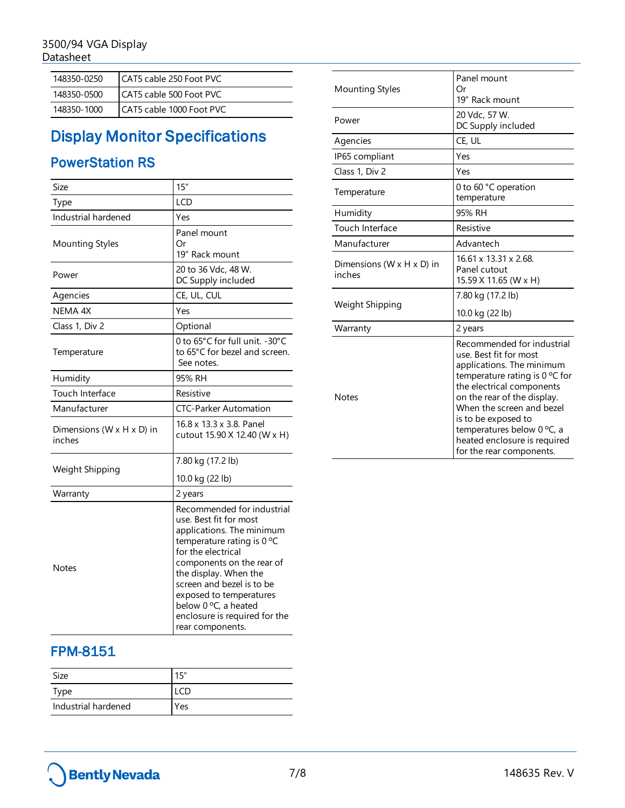| 148350-0250 | CAT5 cable 250 Foot PVC  |
|-------------|--------------------------|
| 148350-0500 | CAT5 cable 500 Foot PVC  |
| 148350-1000 | CAT5 cable 1000 Foot PVC |

# Display Monitor Specifications

### PowerStation RS

| Size                                              | 15''                                                                                                                                                                                                                                                                                                                                      |
|---------------------------------------------------|-------------------------------------------------------------------------------------------------------------------------------------------------------------------------------------------------------------------------------------------------------------------------------------------------------------------------------------------|
| Type                                              | <b>LCD</b>                                                                                                                                                                                                                                                                                                                                |
| Industrial hardened                               | Yes                                                                                                                                                                                                                                                                                                                                       |
| Mounting Styles                                   | Panel mount<br>Οr<br>19" Rack mount                                                                                                                                                                                                                                                                                                       |
| Power                                             | 20 to 36 Vdc, 48 W.<br>DC Supply included                                                                                                                                                                                                                                                                                                 |
| Agencies                                          | CE, UL, CUL                                                                                                                                                                                                                                                                                                                               |
| NEMA 4X                                           | Yes                                                                                                                                                                                                                                                                                                                                       |
| Class 1, Div 2                                    | Optional                                                                                                                                                                                                                                                                                                                                  |
| Temperature                                       | 0 to 65°C for full unit. -30°C<br>to 65°C for bezel and screen.<br>See notes.                                                                                                                                                                                                                                                             |
| Humidity                                          | 95% RH                                                                                                                                                                                                                                                                                                                                    |
| Touch Interface                                   | Resistive                                                                                                                                                                                                                                                                                                                                 |
| Manufacturer                                      | <b>CTC-Parker Automation</b>                                                                                                                                                                                                                                                                                                              |
| Dimensions ( $W \times H \times D$ ) in<br>inches | 16.8 x 13.3 x 3.8. Panel<br>cutout 15.90 X 12.40 (W x H)                                                                                                                                                                                                                                                                                  |
| Weight Shipping                                   | 7.80 kg (17.2 lb)<br>10.0 kg (22 lb)                                                                                                                                                                                                                                                                                                      |
| Warranty                                          | 2 years                                                                                                                                                                                                                                                                                                                                   |
| Notes                                             | Recommended for industrial<br>use. Best fit for most<br>applications. The minimum<br>temperature rating is $0^{\circ}$ C<br>for the electrical<br>components on the rear of<br>the display. When the<br>screen and bezel is to be<br>exposed to temperatures<br>below 0 °C, a heated<br>enclosure is required for the<br>rear components. |

| <b>Mounting Styles</b>                            | Panel mount<br>Οr<br>19" Rack mount                                                                                                                                                                                                                                                                        |
|---------------------------------------------------|------------------------------------------------------------------------------------------------------------------------------------------------------------------------------------------------------------------------------------------------------------------------------------------------------------|
| Power                                             | 20 Vdc, 57 W.<br>DC Supply included                                                                                                                                                                                                                                                                        |
| Agencies                                          | CE, UL                                                                                                                                                                                                                                                                                                     |
| IP65 compliant                                    | Yes                                                                                                                                                                                                                                                                                                        |
| Class 1, Div 2                                    | Yes                                                                                                                                                                                                                                                                                                        |
| Temperature                                       | 0 to 60 °C operation<br>temperature                                                                                                                                                                                                                                                                        |
| Humidity                                          | 95% RH                                                                                                                                                                                                                                                                                                     |
| Touch Interface                                   | Resistive                                                                                                                                                                                                                                                                                                  |
| Manufacturer                                      | Advantech                                                                                                                                                                                                                                                                                                  |
| Dimensions ( $W \times H \times D$ ) in<br>inches | 16.61 x 13.31 x 2.68.<br>Panel cutout<br>15.59 X 11.65 (W x H)                                                                                                                                                                                                                                             |
| Weight Shipping                                   | 7.80 kg (17.2 lb)<br>10.0 kg (22 lb)                                                                                                                                                                                                                                                                       |
| Warranty                                          | 2 years                                                                                                                                                                                                                                                                                                    |
| <b>Notes</b>                                      | Recommended for industrial<br>use. Best fit for most<br>applications. The minimum<br>temperature rating is $0^{\circ}$ C for<br>the electrical components<br>on the rear of the display.<br>When the screen and bezel<br>is to be exposed to<br>temperatures below 0 °C, a<br>heated enclosure is required |

for the rear components.

## FPM-8151

| Size                | 15" |
|---------------------|-----|
| Type                |     |
| Industrial hardened | Yes |